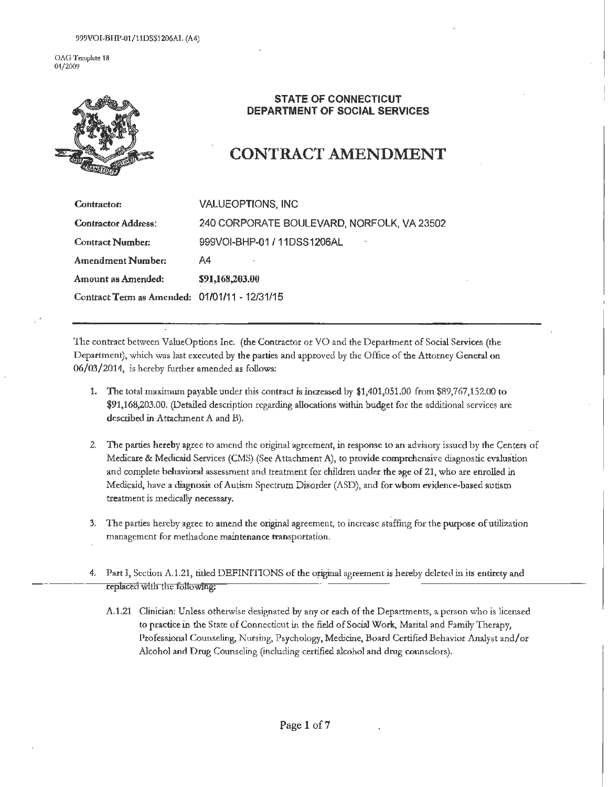OAG Template 18 04/2009



### **STATE OF CONNECTICUT DEPARTMENT OF SOCIAL SERVICES**

## **CONTRACT AMENDMENT**

| <b>Contractor:</b>                            | VALUEOPTIONS, INC                          |
|-----------------------------------------------|--------------------------------------------|
| <b>Contractor Address:</b>                    | 240 CORPORATE BOULEVARD, NORFOLK, VA 23502 |
| <b>Contract Number:</b>                       | 999VOI-BHP-01 / 11DSS1206AL                |
| Amendment Number:                             | A4                                         |
| Amount as Amended:                            | \$91,168,203.00                            |
| Contract Term as Amended: 01/01/11 - 12/31/15 |                                            |

'!he conttact between ValueOptions Inc. (the Conttactor or YO and the Department of Social Services (the Department), which was last executed by the parties and approved by the Office of the Attorney General on 06/03/2014, is hereby further amended as follows:

- 1. The total maximum payable under this contract is increased by \$1,401,051.00 from \$89,767,152.00 to \$91,168,203.00. (Detailed description regarding allocations within budget for the additional services are described in Attachment A and B).
- 2. The parties hereby agree to amend the original agreement, in response to an advisoty issued by the Centers of Medicare & Medicaid Services (CMS) (See Attachment A), to provide comprehensive diagnostic evaluation and complete behavioral assessment and treatment for children under the age of 21, who are emolled in Medicaid, have a diagnosis of Autism Specttum Disorder (ASD), and forwbom evidence-based autism treatment is medically necessary.
- 3. T he parties hetcby agree to amend the original agreement, to increase staffing for the putpose of utilization management for methadone maintenance transportation.
- 4. Part I, Section A.1.21, titled DEFINITIONS of the original agreement is hereby deleted in its entirety and replaced with the following:
	- A.1.21 Clinician: Unless otherwise designated by any or each of the Departments, a person who is licensed to practice in the State of Connecticut in the field of Social Work, Marital and Family Therapy, Professional Counseling, Nursing, Psychology, Medicine, Board Certified Behavior Analyst and/or Alcohol and Drug Counseling (including certified alcohol and drug counselors).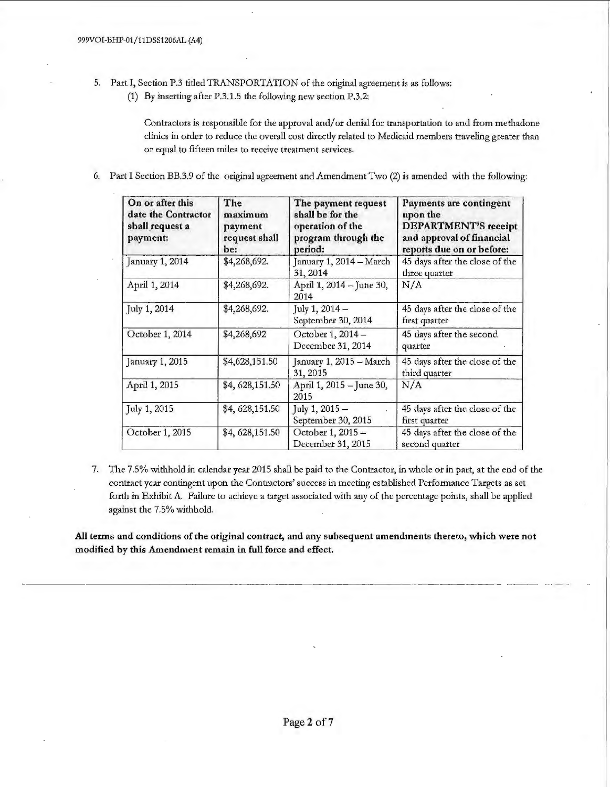- 5. Part T, Section P.3 tided TRANSPORTATION of the original agreement is as follows:
	- (1) By inserting after P.3.1.5 the following new section P.3.2:

Contractors is responsible for the approval and/ or denial for transportation to and from methadone clinics in order to reduce the overall cost directly related to Medicaid members traveling greater than or equal to fifteen miles to receive treatment services.

6. Part I Section BB.3.9 of the original agreement and Amendment Two  $(2)$  is amended with the following:

| On or after this<br>date the Contractor<br>sball request a<br>payment: | The<br>maximum<br>payment<br>request shall<br>be: | The payment request<br>shall be for the<br>operation of the<br>program through the<br>period: | Payments are contingent<br>upon the<br><b>DEPARTMENT'S</b> receipt<br>and approval of financial<br>reports due on or before: |
|------------------------------------------------------------------------|---------------------------------------------------|-----------------------------------------------------------------------------------------------|------------------------------------------------------------------------------------------------------------------------------|
| January 1, 2014                                                        | \$4,268,692.                                      | January 1, 2014 - March<br>31, 2014                                                           | 45 days after the close of the<br>three quarter                                                                              |
| April 1, 2014                                                          | \$4,268,692.                                      | April 1, 2014 - June 30,<br>2014                                                              | N/A                                                                                                                          |
| July 1, 2014                                                           | \$4,268,692.                                      | July 1, $2014 -$<br>September 30, 2014                                                        | 45 days after the close of the<br>first quarter                                                                              |
| October 1, 2014<br>\$4,268,692                                         |                                                   | October 1, 2014 -<br>December 31, 2014                                                        | 45 days after the second<br>quarter                                                                                          |
| January 1, 2015                                                        | \$4,628,151.50                                    | January 1, 2015 - March<br>31, 2015                                                           | 45 days after the close of the<br>third quarter                                                                              |
| April 1, 2015                                                          | \$4,628,151.50                                    | April 1, 2015 - June 30,<br>2015                                                              | N/A                                                                                                                          |
| July 1, 2015                                                           | \$4, 628, 151.50                                  | July 1, 2015 -<br>September 30, 2015                                                          | 45 days after the close of the<br>first quarter                                                                              |
| October 1, 2015                                                        | \$4,628,151.50                                    | October 1, 2015 -<br>December 31, 2015                                                        | 45 days after the close of the<br>second quarter                                                                             |

7. The 7.5% withhold in calendar year 2015 shall be paid to the Contractor, in whole or in part, at the end of the contract year contingent upon the Contractors' success in meeting established Performance Targets as set forth in Exhibit A. Failure to achieve a target associated with any of the percentage points, shall be applied against the 7.5% withhold.

All terms and conditions of the original contract, and any subsequent amendments thereto, which were not modified by this Amendment remain in full force and effect. ------·-- ---- --- --- -----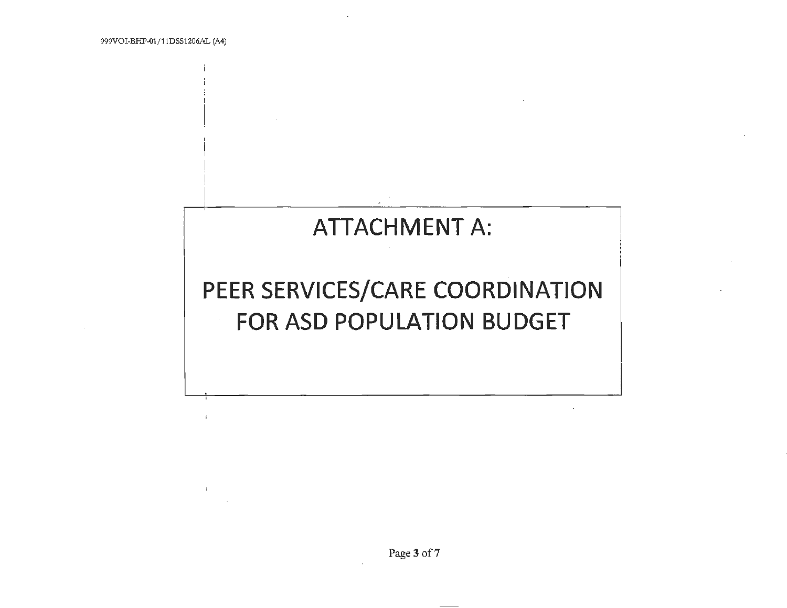$\cdot$ 

# **ATTACHMENT A:**

# PEER SERVICES/CARE COORDINATION FOR ASD POPULATION BUDGET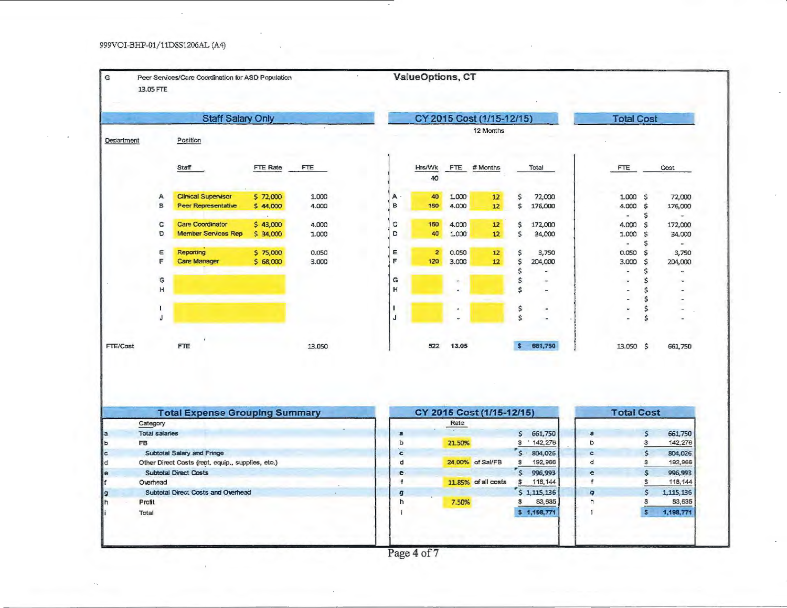#### 999VOI-BHP-01/11DSS1206AL (A4)

| <b>Staff Salary Only</b><br>CY 2015 Cost (1/15-12/15)<br><b>Total Cost</b><br>12 Months<br>Position<br>FTE Rate<br><b>Staff</b><br><b>FTE</b><br>Hrs/Wk<br># Months<br>Total<br>FTE.<br><b>FTE</b><br>Cost<br>40<br><b>Clinical Supervisor</b><br>1.000<br>A<br>5 72,000<br>40<br>1.000<br>\$<br>72,000<br>1.000<br>$\ddot{s}$<br>Α<br>12<br>$\mathbf{B}$<br>B<br>\$<br>Peer Representative<br>176,000<br>4.000<br>\$<br>\$44,000<br>4.000<br>160<br>4.000<br>12<br>\$<br>$\blacksquare$<br>c<br><b>Care Coordinator</b><br>c<br>\$43,000<br>4.000<br>160<br>4.000<br>12<br>\$<br>172,000<br>\$<br>4.000<br>D<br><b>Member Services Rep</b><br>D<br>\$<br>\$34,000<br>40<br>1.000<br>12<br>34,000<br>1.000<br>\$<br>1.000<br>\$<br>$\sim$<br>Ε<br>Reporting<br>0.050<br>E<br>0.050<br>\$<br>\$<br>\$75,000<br>$\overline{2}$<br>12<br>3,750<br>0.050<br>F<br>F<br>\$<br>Care Manager<br>\$68,000<br>3.000<br>120<br>3.000<br>12<br>204,000<br>3.000<br>\$<br>\$<br>\$<br>$\overline{a}$<br>$\blacksquare$<br>\$<br>G<br>\$<br>G<br>H<br>н<br>\$<br>\$<br>\$<br>\$<br>\$<br>Ŧ<br>×<br>$\sim$<br>Ś<br>J<br>\$<br>661,750<br><b>FTE</b><br>13.050<br>522<br>13.05<br>s<br>13.050 \$<br><b>Total Expense Grouping Summary</b><br>CY 2015 Cost (1/15-12/15)<br><b>Total Cost</b><br>Category<br>Rate<br>14.1<br><b>Total salaries</b><br>661,750<br>$\mathsf{s}$<br>$\frac{1}{2}$<br>a<br>a<br><b>FB</b><br>ь<br>21.50%<br>S<br>142,276<br>ь<br>\$<br>Subtotal Salary and Fringe<br>\$<br>$\mathsf{S}$<br>804,026<br>c<br>c<br>Other Direct Costs (rent, equip., supplies, etc.)<br>24,00% of Sal/FB<br>$\mathbb S$<br>192,966<br>d<br>\$<br>d<br>$\mathsf{S}$<br><b>Subtotal Direct Costs</b><br>996,993<br>$\mathsf{s}$<br>e<br>e<br>11.85% of all costs<br>118, 144<br>\$<br>Overhead<br>$\ddagger$<br>\$<br>f<br>\$1,115,136<br>Subtotal Direct Costs and Overhead<br>\$<br>g<br>g<br>83,635<br>Profit<br>h<br>\$<br>h<br>s,<br>7.50%<br>\$1,198,771<br>i<br>$\mathbf{s}$<br>Total |            | 13.05 FTE | Peer Services/Care Coordination for ASD Population | $\,$ | ValueOptions, CT |  |  |                                     |
|-----------------------------------------------------------------------------------------------------------------------------------------------------------------------------------------------------------------------------------------------------------------------------------------------------------------------------------------------------------------------------------------------------------------------------------------------------------------------------------------------------------------------------------------------------------------------------------------------------------------------------------------------------------------------------------------------------------------------------------------------------------------------------------------------------------------------------------------------------------------------------------------------------------------------------------------------------------------------------------------------------------------------------------------------------------------------------------------------------------------------------------------------------------------------------------------------------------------------------------------------------------------------------------------------------------------------------------------------------------------------------------------------------------------------------------------------------------------------------------------------------------------------------------------------------------------------------------------------------------------------------------------------------------------------------------------------------------------------------------------------------------------------------------------------------------------------------------------------------------------------------------------------------------------------------------------------------------------------------------|------------|-----------|----------------------------------------------------|------|------------------|--|--|-------------------------------------|
|                                                                                                                                                                                                                                                                                                                                                                                                                                                                                                                                                                                                                                                                                                                                                                                                                                                                                                                                                                                                                                                                                                                                                                                                                                                                                                                                                                                                                                                                                                                                                                                                                                                                                                                                                                                                                                                                                                                                                                                   |            |           |                                                    |      |                  |  |  |                                     |
| FTE/Cost<br>Þ<br>c<br>d<br>e<br>g                                                                                                                                                                                                                                                                                                                                                                                                                                                                                                                                                                                                                                                                                                                                                                                                                                                                                                                                                                                                                                                                                                                                                                                                                                                                                                                                                                                                                                                                                                                                                                                                                                                                                                                                                                                                                                                                                                                                                 | Department |           |                                                    |      |                  |  |  |                                     |
|                                                                                                                                                                                                                                                                                                                                                                                                                                                                                                                                                                                                                                                                                                                                                                                                                                                                                                                                                                                                                                                                                                                                                                                                                                                                                                                                                                                                                                                                                                                                                                                                                                                                                                                                                                                                                                                                                                                                                                                   |            |           |                                                    |      |                  |  |  |                                     |
|                                                                                                                                                                                                                                                                                                                                                                                                                                                                                                                                                                                                                                                                                                                                                                                                                                                                                                                                                                                                                                                                                                                                                                                                                                                                                                                                                                                                                                                                                                                                                                                                                                                                                                                                                                                                                                                                                                                                                                                   |            |           |                                                    |      |                  |  |  | 72,000<br>176,000                   |
|                                                                                                                                                                                                                                                                                                                                                                                                                                                                                                                                                                                                                                                                                                                                                                                                                                                                                                                                                                                                                                                                                                                                                                                                                                                                                                                                                                                                                                                                                                                                                                                                                                                                                                                                                                                                                                                                                                                                                                                   |            |           |                                                    |      |                  |  |  | 172,000<br>34,000<br>$\overline{a}$ |
|                                                                                                                                                                                                                                                                                                                                                                                                                                                                                                                                                                                                                                                                                                                                                                                                                                                                                                                                                                                                                                                                                                                                                                                                                                                                                                                                                                                                                                                                                                                                                                                                                                                                                                                                                                                                                                                                                                                                                                                   |            |           |                                                    |      |                  |  |  | 3,750<br>204,000<br>$\omega$        |
|                                                                                                                                                                                                                                                                                                                                                                                                                                                                                                                                                                                                                                                                                                                                                                                                                                                                                                                                                                                                                                                                                                                                                                                                                                                                                                                                                                                                                                                                                                                                                                                                                                                                                                                                                                                                                                                                                                                                                                                   |            |           |                                                    |      |                  |  |  |                                     |
|                                                                                                                                                                                                                                                                                                                                                                                                                                                                                                                                                                                                                                                                                                                                                                                                                                                                                                                                                                                                                                                                                                                                                                                                                                                                                                                                                                                                                                                                                                                                                                                                                                                                                                                                                                                                                                                                                                                                                                                   |            |           |                                                    |      |                  |  |  |                                     |
|                                                                                                                                                                                                                                                                                                                                                                                                                                                                                                                                                                                                                                                                                                                                                                                                                                                                                                                                                                                                                                                                                                                                                                                                                                                                                                                                                                                                                                                                                                                                                                                                                                                                                                                                                                                                                                                                                                                                                                                   |            |           |                                                    |      |                  |  |  | 661,750                             |
|                                                                                                                                                                                                                                                                                                                                                                                                                                                                                                                                                                                                                                                                                                                                                                                                                                                                                                                                                                                                                                                                                                                                                                                                                                                                                                                                                                                                                                                                                                                                                                                                                                                                                                                                                                                                                                                                                                                                                                                   |            |           |                                                    |      |                  |  |  |                                     |
|                                                                                                                                                                                                                                                                                                                                                                                                                                                                                                                                                                                                                                                                                                                                                                                                                                                                                                                                                                                                                                                                                                                                                                                                                                                                                                                                                                                                                                                                                                                                                                                                                                                                                                                                                                                                                                                                                                                                                                                   |            |           |                                                    |      |                  |  |  | 661,750                             |
|                                                                                                                                                                                                                                                                                                                                                                                                                                                                                                                                                                                                                                                                                                                                                                                                                                                                                                                                                                                                                                                                                                                                                                                                                                                                                                                                                                                                                                                                                                                                                                                                                                                                                                                                                                                                                                                                                                                                                                                   |            |           |                                                    |      |                  |  |  | 142,276                             |
|                                                                                                                                                                                                                                                                                                                                                                                                                                                                                                                                                                                                                                                                                                                                                                                                                                                                                                                                                                                                                                                                                                                                                                                                                                                                                                                                                                                                                                                                                                                                                                                                                                                                                                                                                                                                                                                                                                                                                                                   |            |           |                                                    |      |                  |  |  | 804,026<br>192,966                  |
|                                                                                                                                                                                                                                                                                                                                                                                                                                                                                                                                                                                                                                                                                                                                                                                                                                                                                                                                                                                                                                                                                                                                                                                                                                                                                                                                                                                                                                                                                                                                                                                                                                                                                                                                                                                                                                                                                                                                                                                   |            |           |                                                    |      |                  |  |  | 996,993                             |
|                                                                                                                                                                                                                                                                                                                                                                                                                                                                                                                                                                                                                                                                                                                                                                                                                                                                                                                                                                                                                                                                                                                                                                                                                                                                                                                                                                                                                                                                                                                                                                                                                                                                                                                                                                                                                                                                                                                                                                                   |            |           |                                                    |      |                  |  |  | 118,144                             |
|                                                                                                                                                                                                                                                                                                                                                                                                                                                                                                                                                                                                                                                                                                                                                                                                                                                                                                                                                                                                                                                                                                                                                                                                                                                                                                                                                                                                                                                                                                                                                                                                                                                                                                                                                                                                                                                                                                                                                                                   |            |           |                                                    |      |                  |  |  | 1,115,136                           |
|                                                                                                                                                                                                                                                                                                                                                                                                                                                                                                                                                                                                                                                                                                                                                                                                                                                                                                                                                                                                                                                                                                                                                                                                                                                                                                                                                                                                                                                                                                                                                                                                                                                                                                                                                                                                                                                                                                                                                                                   |            |           |                                                    |      |                  |  |  | 83,635                              |
|                                                                                                                                                                                                                                                                                                                                                                                                                                                                                                                                                                                                                                                                                                                                                                                                                                                                                                                                                                                                                                                                                                                                                                                                                                                                                                                                                                                                                                                                                                                                                                                                                                                                                                                                                                                                                                                                                                                                                                                   |            |           |                                                    |      |                  |  |  | 1,198,771                           |

Page 4 of 7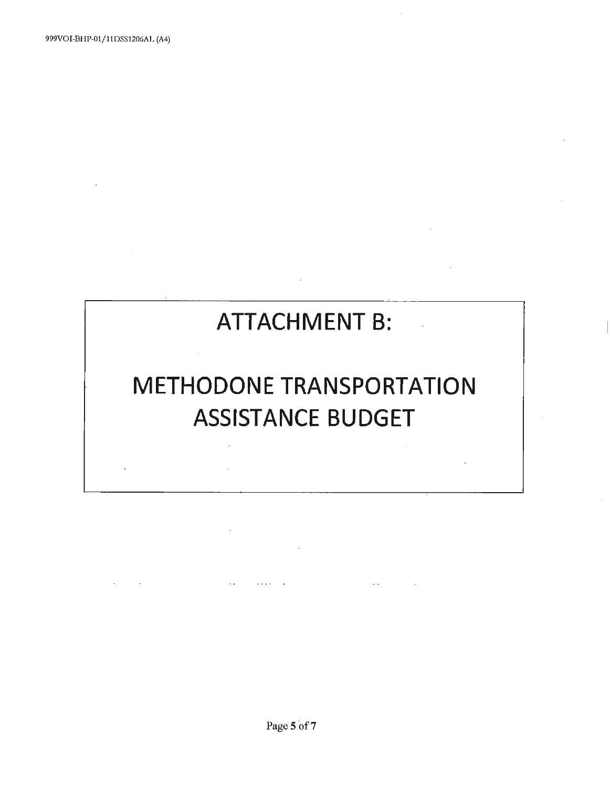# **ATTACHMENT B:**

# **METHODONE TRANSPORTATION ASSISTANCE BUDGET**

 $\sim$   $\sim$ 

 $\sim$ 

 $\sim$   $\sim$ 

 $\mathbb{Z}^2$  .  $\mathbb{Z}^2$ 

Page 5 of 7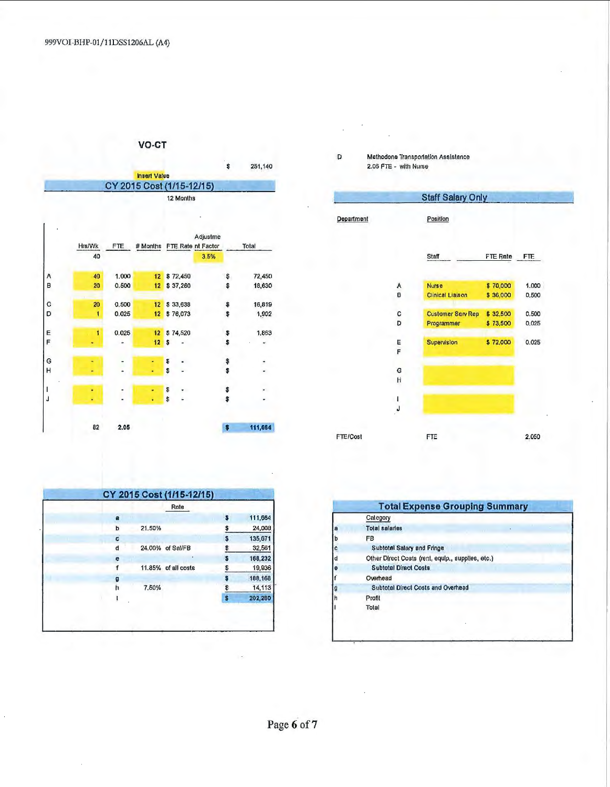$\mathbf{r}$ 

### VO-CT



|        | Hrs/Wk<br>40 | FTE   |    |          | Adjustme<br># Months FTE Rate nt Factor<br>3.5% |    | Total                 |
|--------|--------------|-------|----|----------|-------------------------------------------------|----|-----------------------|
|        | 40           | 1.000 | 12 | \$72,450 |                                                 | \$ | 72,450                |
| A<br>B | 20           | 0.500 | 12 | \$37,260 |                                                 | \$ | 18,630                |
| C      | 20           | 0.500 | 12 | \$33,638 |                                                 | \$ | 16,819                |
| D      | 1            | 0.025 | 12 | \$76,073 |                                                 | \$ | 1,902                 |
| E<br>F | 1            | 0.025 | 12 | \$74,520 |                                                 | Ş  | 1,863                 |
|        |              |       | 12 | S        |                                                 | \$ |                       |
| G      |              |       |    | Ş        |                                                 | \$ |                       |
| H      |              | ä.    |    | \$       |                                                 | \$ | $\tilde{\phantom{a}}$ |
|        |              |       |    | \$       |                                                 | \$ |                       |
| Ĵ      |              |       |    | \$       | i.                                              | \$ |                       |
|        |              |       |    |          |                                                 |    |                       |
|        | 82           | 2.05  |    |          |                                                 | G  | 111,664               |

|   |        | Rate                |    |         |
|---|--------|---------------------|----|---------|
| a |        |                     | S  | 111,664 |
| Þ | 21.50% |                     | \$ | 24,008  |
| ¢ |        |                     | Ś  | 135,671 |
| d |        | 24.00% of Sal/FB    |    | 32,561  |
| e |        |                     |    | 168,232 |
|   |        | 11.85% of all costs | Ş  | 19,936  |
| g |        |                     |    | 188,168 |
| h | 7.50%  |                     | \$ | 14, 113 |
|   |        |                     | S  | 202,280 |

#### Methodone Transportation Assistance<br>2.05 FTE - with Nurse  $\mathsf D$

|            |   | <b>Staff Salary Only</b> |          |       |
|------------|---|--------------------------|----------|-------|
| Department |   | Position                 |          |       |
|            |   | <b>Staff</b>             | FTE Rate | FTE.  |
|            | A | Nurse                    | \$70,000 | 1.000 |
|            | B | <b>Clinical Liaison</b>  | \$36,000 | 0.500 |
|            | с | <b>Customer Serv Rep</b> | \$32,500 | 0.500 |
|            | D | Programmer               | \$73,500 | 0.025 |
|            | E | Supervision              | \$72,000 | 0.025 |
|            | F |                          |          |       |
|            | G |                          |          |       |
|            | H |                          |          |       |
|            | 1 |                          |          |       |
|            | J |                          |          |       |
|            |   |                          |          |       |
| FTE/Cost   |   | FTE                      |          | 2.050 |

| <b>Total Expense Grouping Summary</b>             |
|---------------------------------------------------|
| Category                                          |
| <b>Total salaries</b>                             |
| FB                                                |
| Subtotal Salary and Fringe                        |
| Other Direct Costs (rent, equip., supplies, etc.) |
| <b>Subtotal Direct Costs</b>                      |
| Overhead                                          |
| Subtotal Direct Costs and Overhead                |
| Profit                                            |
| Total                                             |
|                                                   |
|                                                   |
|                                                   |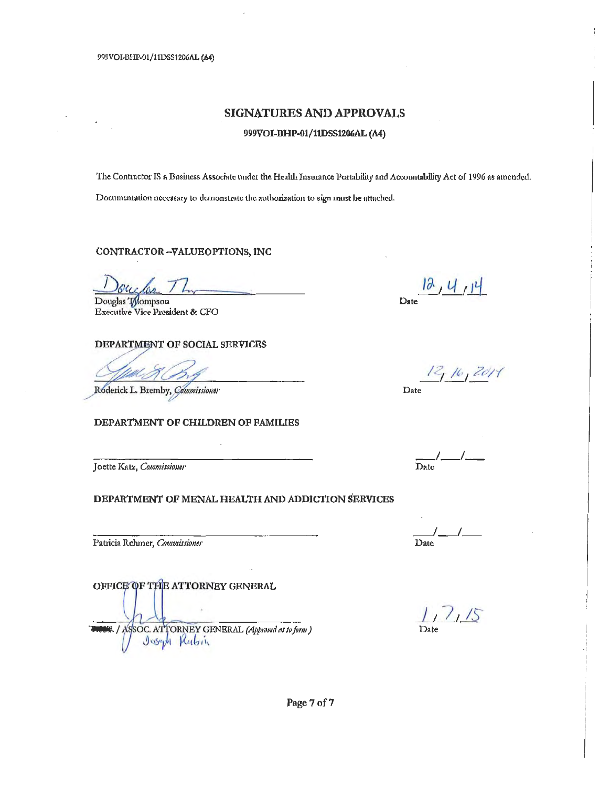999VOI-BHP-01/11DSS1206AL (A4)

### **SIGNATURES AND APPROVALS**

#### 999VOI-BHP-01/11DSS1206AL (A4)

The Contractor IS a Business Associate under the Health Insurance Portability and Accountability Act of 1996 as amended. Documentation necessary to demonstrate the authorization to sign must be attached.

CONTRACTOR-VALUEOPTIONS, INC

Douglas Tompson **Executive Vice President & CFO** 

#### DEPARTMENT OF SOCIAL SERVICES

Roderick L. Bremby, Commissioner

#### DEPARTMENT OF CHILDREN OF FAMILIES

Joette Katz, Commissioner

#### DEPARTMENT OF MENAL HEALTH AND ADDICTION SERVICES

Patricia Rehmer, Commissioner

OFFICE OF THE ATTORNEY GENERAL

1 / ASSOC. ATTORNEY GENERAL (Approved as to form)

 $\frac{12, 4, 14}{2}$ 

12, 16, 2014 Date

 $\frac{1}{\text{Date}}$ 

<u>/\_</u> Date

 $\frac{1}{\text{Date}}$ 

Page 7 of 7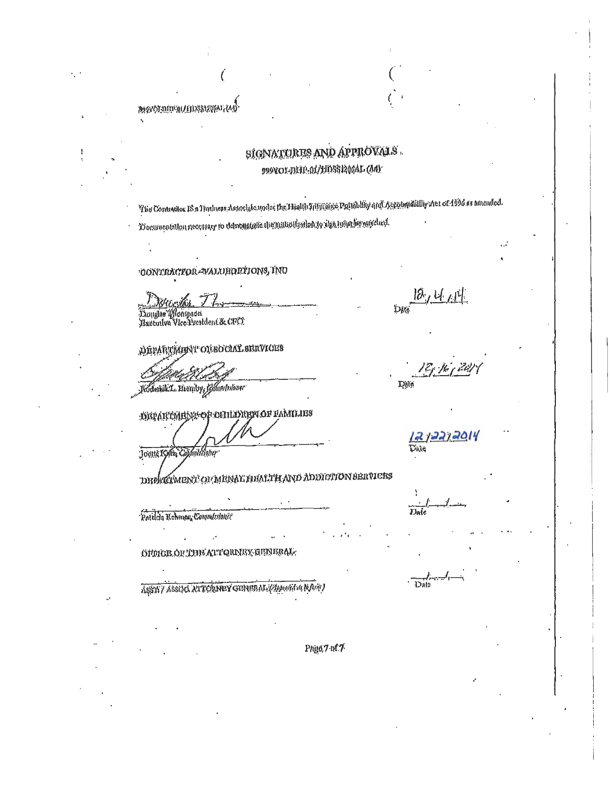## **SIGNATURES AND APPROVALS.** 999VOLDER04/HDSS1200AL(AA)

The Contractor 18 n Thishers Associate indee the Health Historice Portability and Accountabilly aret of 1996 as amended. Donunentallon necessary to demonstrate the milliotesiled to sign min be any client.

CONTRACTOR-VALUBORTIONS, INU

Douglas Monpeon

**ANY LANDER COLLUS EDGAL CONSER** 

DEPARTMENT ON BOOML SERVICES

Rodenik L. Bromly Gommuloner

ОКРАВСМВОЖ ОР СПИТАВИ ОГ РАМИЛЕЯ

Joette Katz drkoner

DIPERMENT OF MENAL HEALTH AND ADDICTION BERVICES

Patiden Rehmen, Commissioner

ÖHMCB OF TINE ATT QNNEX GENERAL.

ASSIV ASSOC ATTORNEY GENERAL (Approva a b Arit)

Phgo.7 of 7

12,4 AM **Date** 

Date

 $22/2014$ 

Date

Dato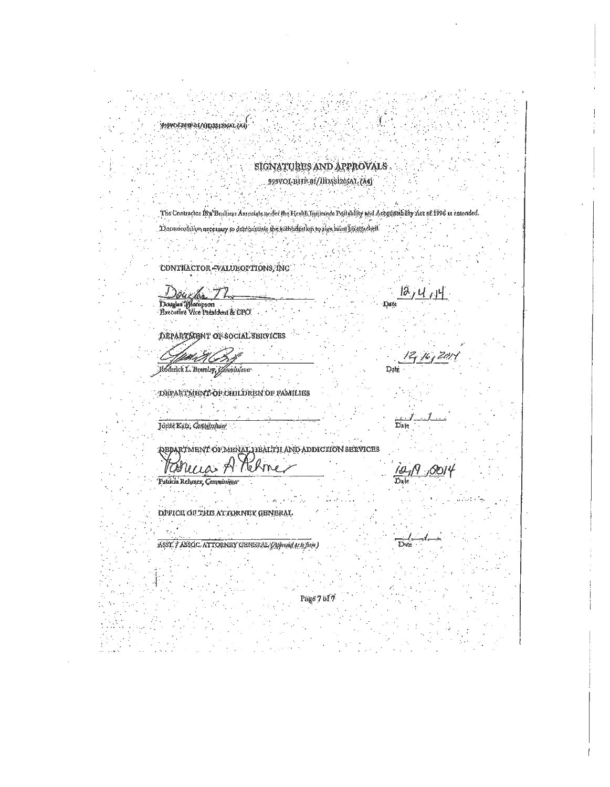#### www.paper.com/cinematical

## SIGNATURES AND APPROVALS.

### 999VOL-BHP-01/IIDS91206AL (A4)

The Contractor 18% Busliess Associate under the Health Institute Postability and Accountability Act of 1996 as antonded. Documentation necessary to demonstrate the suthinization to sign mind ho strached

CONTRACTOR-VALUEOPTIONS, INC.

Douchs 72 Douglas (Mampson<br>Brecutive Vice President & CPO

DEPARTMENT OF SOCIAL SERVICES

Rođenick L. Bremby Gommissioner

DEPARTMENT OF CHILDREN OF FAMILIES

Joette Katz, Condelestaner

**QEPARTMENT OF MENAL HEALTH AND ADDICITON SERVICES** 

Patucia Rehmer, Communi

**DIFICE OF THE ATTORNEY GENERAL** 

ASST. / ASSOC. ATTORNBY GENERAL (Approved at lo form)

Date

Zd Date

 $\overline{\mathbf{D}}$ ate

Date

Page 7 of 7